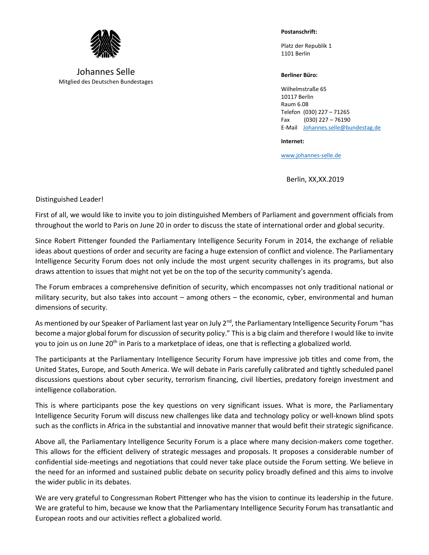

Johannes Selle Mitglied des Deutschen Bundestages **Postanschrift:**

Platz der Republik 1 1101 Berlin

## **Berliner Büro:**

Wilhelmstraße 65 10117 Berlin Raum 6.08 Telefon (030) 227 – 71265 Fax (030) 227 – 76190 E-Mail [Johannes.selle@bundestag.de](mailto:Johannes.selle@bundestag.de)

**Internet:**

[www.johannes-selle.de](http://www.johannes-selle.de/)

Berlin, XX,XX.2019

Distinguished Leader!

First of all, we would like to invite you to join distinguished Members of Parliament and government officials from throughout the world to Paris on June 20 in order to discuss the state of international order and global security.

Since Robert Pittenger founded the Parliamentary Intelligence Security Forum in 2014, the exchange of reliable ideas about questions of order and security are facing a huge extension of conflict and violence. The Parliamentary Intelligence Security Forum does not only include the most urgent security challenges in its programs, but also draws attention to issues that might not yet be on the top of the security community's agenda.

The Forum embraces a comprehensive definition of security, which encompasses not only traditional national or military security, but also takes into account – among others – the economic, cyber, environmental and human dimensions of security.

As mentioned by our Speaker of Parliament last year on July  $2^{nd}$ , the Parliamentary Intelligence Security Forum "has become a major global forum for discussion of security policy." This is a big claim and therefore I would like to invite you to join us on June 20<sup>th</sup> in Paris to a marketplace of ideas, one that is reflecting a globalized world.

The participants at the Parliamentary Intelligence Security Forum have impressive job titles and come from, the United States, Europe, and South America. We will debate in Paris carefully calibrated and tightly scheduled panel discussions questions about cyber security, terrorism financing, civil liberties, predatory foreign investment and intelligence collaboration.

This is where participants pose the key questions on very significant issues. What is more, the Parliamentary Intelligence Security Forum will discuss new challenges like data and technology policy or well-known blind spots such as the conflicts in Africa in the substantial and innovative manner that would befit their strategic significance.

Above all, the Parliamentary Intelligence Security Forum is a place where many decision-makers come together. This allows for the efficient delivery of strategic messages and proposals. It proposes a considerable number of confidential side-meetings and negotiations that could never take place outside the Forum setting. We believe in the need for an informed and sustained public debate on security policy broadly defined and this aims to involve the wider public in its debates.

We are very grateful to Congressman Robert Pittenger who has the vision to continue its leadership in the future. We are grateful to him, because we know that the Parliamentary Intelligence Security Forum has transatlantic and European roots and our activities reflect a globalized world.